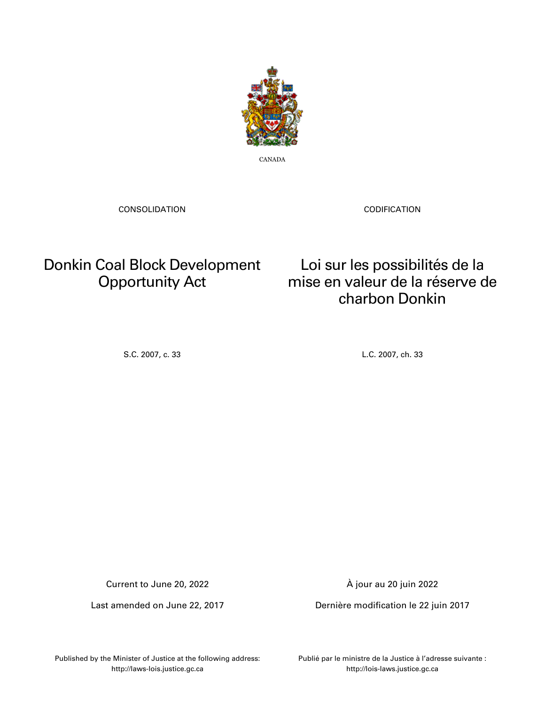

CANADA

CONSOLIDATION

CODIFICATION

## Donkin Coal Block Development Opportunity Act

Loi sur les possibilités de la mise en valeur de la réserve de charbon Donkin

S.C. 2007, c. 33 L.C. 2007, ch. 33

Current to June 20, 2022

Last amended on June 22, 2017

À jour au 20 juin 2022

Dernière modification le 22 juin 2017

Published by the Minister of Justice at the following address: http://laws-lois.justice.gc.ca

Publié par le ministre de la Justice à l'adresse suivante : http://lois-laws.justice.gc.ca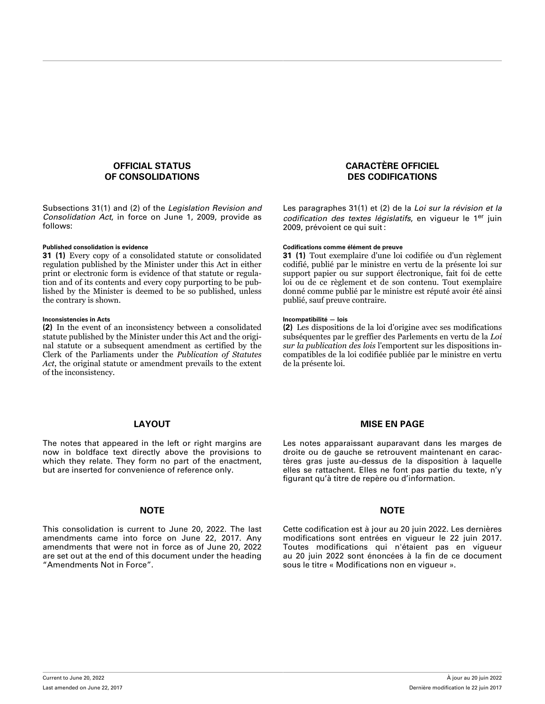## **OFFICIAL STATUS OF CONSOLIDATIONS**

Subsections 31(1) and (2) of the *Legislation Revision and Consolidation Act*, in force on June 1, 2009, provide as follows:

**31 (1)** Every copy of a consolidated statute or consolidated regulation published by the Minister under this Act in either print or electronic form is evidence of that statute or regulation and of its contents and every copy purporting to be published by the Minister is deemed to be so published, unless the contrary is shown.

## **Inconsistencies in Acts Incompatibilité — lois**

**(2)** In the event of an inconsistency between a consolidated statute published by the Minister under this Act and the original statute or a subsequent amendment as certified by the Clerk of the Parliaments under the *Publication of Statutes Act*, the original statute or amendment prevails to the extent of the inconsistency.

## **CARACTÈRE OFFICIEL DES CODIFICATIONS**

Les paragraphes 31(1) et (2) de la *Loi sur la révision et la codification des textes législatifs*, en vigueur le 1er juin 2009, prévoient ce qui suit :

## **Published consolidation is evidence Codifications comme élément de preuve**

**31 (1)** Tout exemplaire d'une loi codifiée ou d'un règlement codifié, publié par le ministre en vertu de la présente loi sur support papier ou sur support électronique, fait foi de cette loi ou de ce règlement et de son contenu. Tout exemplaire donné comme publié par le ministre est réputé avoir été ainsi publié, sauf preuve contraire.

**(2)** Les dispositions de la loi d'origine avec ses modifications subséquentes par le greffier des Parlements en vertu de la *Loi sur la publication des lois* l'emportent sur les dispositions incompatibles de la loi codifiée publiée par le ministre en vertu de la présente loi.

## **LAYOUT**

The notes that appeared in the left or right margins are now in boldface text directly above the provisions to which they relate. They form no part of the enactment, but are inserted for convenience of reference only.

## **NOTE NOTE**

This consolidation is current to June 20, 2022. The last amendments came into force on June 22, 2017. Any amendments that were not in force as of June 20, 2022 are set out at the end of this document under the heading "Amendments Not in Force".

## **MISE EN PAGE**

Les notes apparaissant auparavant dans les marges de droite ou de gauche se retrouvent maintenant en caractères gras juste au-dessus de la disposition à laquelle elles se rattachent. Elles ne font pas partie du texte, n'y figurant qu'à titre de repère ou d'information.

Cette codification est à jour au 20 juin 2022. Les dernières modifications sont entrées en vigueur le 22 juin 2017. Toutes modifications qui n'étaient pas en vigueur au 20 juin 2022 sont énoncées à la fin de ce document sous le titre « Modifications non en vigueur ».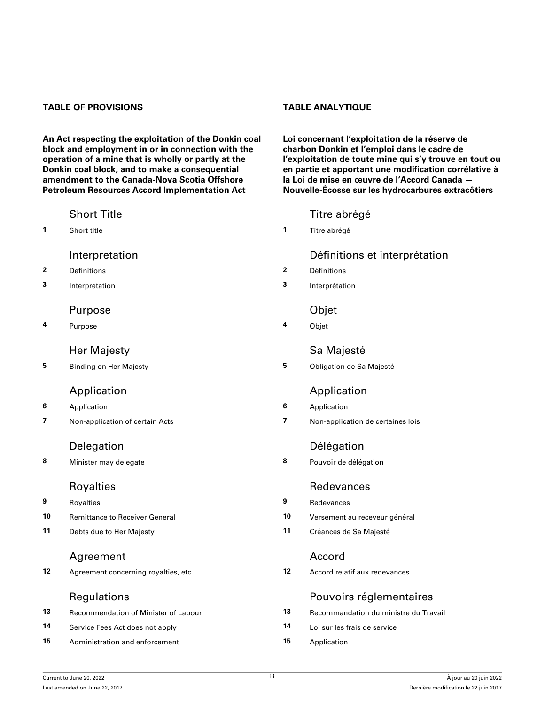## **TABLE OF PROVISIONS TABLE ANALYTIQUE**

**An Act respecting the exploitation of the Donkin coal block and employment in or in connection with the operation of a mine that is wholly or partly at the Donkin coal block, and to make a consequential amendment to the Canada-Nova Scotia Offshore Petroleum Resources Accord Implementation Act**

- **2** [Definitions](#page-4-0) **2** [Définitions](#page-4-0)
- **3** [Interpretation](#page-5-0) **3** [Interprétation](#page-5-0)

## [Purpose](#page-5-0) [Objet](#page-5-0)

**4** [Purpose](#page-5-0) **4** [Objet](#page-5-0)

- **6** [Application](#page-5-0) **6** [Application](#page-5-0)
- 

**8** [Minister may delegate](#page-6-0) **8** [Pouvoir de délégation](#page-6-0)

**9** [Royalties](#page-6-0) **9** [Redevances](#page-6-0) **10** [Remittance to Receiver General](#page-6-0) **10** [Versement au receveur général](#page-6-0) **11** [Debts due to Her Majesty](#page-6-0) **11** [Créances de Sa Majesté](#page-6-0)

## [Agreement](#page-7-0) [Accord](#page-7-0)

**12** [Agreement concerning royalties, etc.](#page-7-0) **12** [Accord relatif aux redevances](#page-7-0)

| 13 | <b>Recommendation of Minister of Labour</b> | 13 | Recommandation du ministre du Travail |
|----|---------------------------------------------|----|---------------------------------------|
| 14 | Service Fees Act does not apply             | 14 | Loi sur les frais de service          |
| 15 | Administration and enforcement              | 15 | Application                           |

**Loi concernant l'exploitation de la réserve de charbon Donkin et l'emploi dans le cadre de l'exploitation de toute mine qui s'y trouve en tout ou en partie et apportant une modification corrélative à la Loi de mise en œuvre de l'Accord Canada — Nouvelle-Écosse sur les hydrocarbures extracôtiers**

## [Short Title](#page-4-0) **Title 1966** Short Title 1966 Short Title abrégé

**1** [Short title](#page-4-0) **1** [Titre abrégé](#page-4-0)

## [Interpretation](#page-4-0) **Interpretation** [Définitions et interprétation](#page-4-0)

- 
- 

## [Her Majesty](#page-5-0) **Samual Samual Samual Samual Samual Samual Samual Samual Samual Samual Samual Samual Samual Samual Samual Samual Samual Samual Samual Samual Samual Samual Samual Samual Samual Samual Samual Samual Samual Samual**

**5** [Binding on Her Majesty](#page-5-0) **5** [Obligation de Sa Majesté](#page-5-0)

## [Application](#page-5-0) **Application**

- 
- **7** [Non-application of certain Acts](#page-6-0) **7** [Non-application de certaines lois](#page-6-0)

## [Delegation](#page-6-0) [Délégation](#page-6-0)

## [Royalties](#page-6-0) **[Redevances](#page-6-0)** Redevances

- 
- 
- 

## [Regulations](#page-7-0) **[Pouvoirs réglementaires](#page-7-0)**

| Recommandation du ministre du Travail |
|---------------------------------------|
| Loi sur les frais de service          |
| Application                           |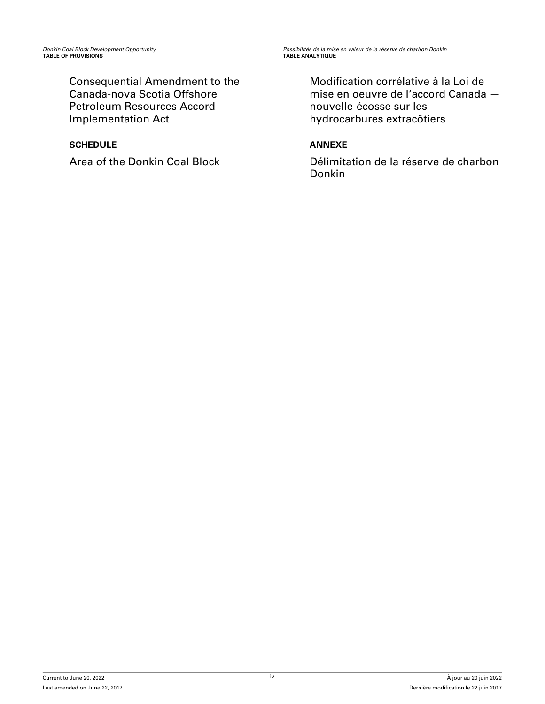[Consequential Amendment to the](#page-9-0) [Canada-nova Scotia Offshore](#page-9-0) [Petroleum Resources Accord](#page-9-0) [Implementation Act](#page-9-0)

## **[SCHEDULE](#page-10-0)**

Area of the Donkin Coal Block

[Modification corrélative à la Loi de](#page-9-0) [mise en oeuvre de l'accord Canada](#page-9-0)  [nouvelle-écosse sur les](#page-9-0) [hydrocarbures extracôtiers](#page-9-0)

## **[ANNEXE](#page-10-0)**

Délimitation de la réserve de charbon Donkin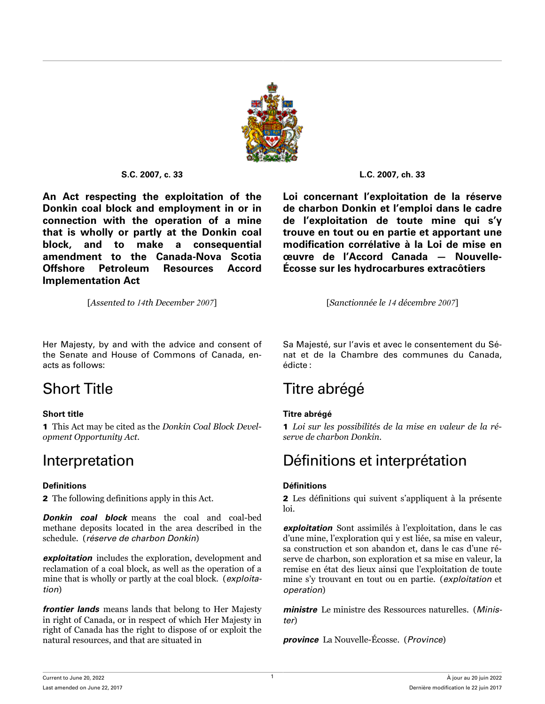

<span id="page-4-0"></span>**An Act respecting the exploitation of the Donkin coal block and employment in or in connection with the operation of a mine that is wholly or partly at the Donkin coal block, and to make a consequential amendment to the Canada-Nova Scotia Offshore Petroleum Resources Accord Implementation Act**

[*Assented to 14th December 2007*] [*Sanctionnée le 14 décembre 2007*]

**S.C. 2007, c. 33 L.C. 2007, ch. 33**

**Loi concernant l'exploitation de la réserve de charbon Donkin et l'emploi dans le cadre de l'exploitation de toute mine qui s'y trouve en tout ou en partie et apportant une modification corrélative à la Loi de mise en œuvre de l'Accord Canada — Nouvelle-Écosse sur les hydrocarbures extracôtiers**

Her Majesty, by and with the advice and consent of the Senate and House of Commons of Canada, enacts as follows:

1 This Act may be cited as the *Donkin Coal Block Development Opportunity Act*.

## **Definitions Définitions**

2 The following definitions apply in this Act.

*Donkin coal block* means the coal and coal-bed methane deposits located in the area described in the schedule. (*réserve de charbon Donkin*)

*exploitation* includes the exploration, development and reclamation of a coal block, as well as the operation of a mine that is wholly or partly at the coal block. (*exploitation*)

*frontier lands* means lands that belong to Her Majesty in right of Canada, or in respect of which Her Majesty in right of Canada has the right to dispose of or exploit the natural resources, and that are situated in

Sa Majesté, sur l'avis et avec le consentement du Sénat et de la Chambre des communes du Canada, édicte :

## Short Title Titre abrégé

## **Short title Titre abrégé**

1 *Loi sur les possibilités de la mise en valeur de la réserve de charbon Donkin*.

## Interpretation Définitions et interprétation

2 Les définitions qui suivent s'appliquent à la présente loi.

*exploitation* Sont assimilés à l'exploitation, dans le cas d'une mine, l'exploration qui y est liée, sa mise en valeur, sa construction et son abandon et, dans le cas d'une réserve de charbon, son exploration et sa mise en valeur, la remise en état des lieux ainsi que l'exploitation de toute mine s'y trouvant en tout ou en partie. (*exploitation* et *operation*)

*ministre* Le ministre des Ressources naturelles. (*Minister*)

*province* La Nouvelle-Écosse. (*Province*)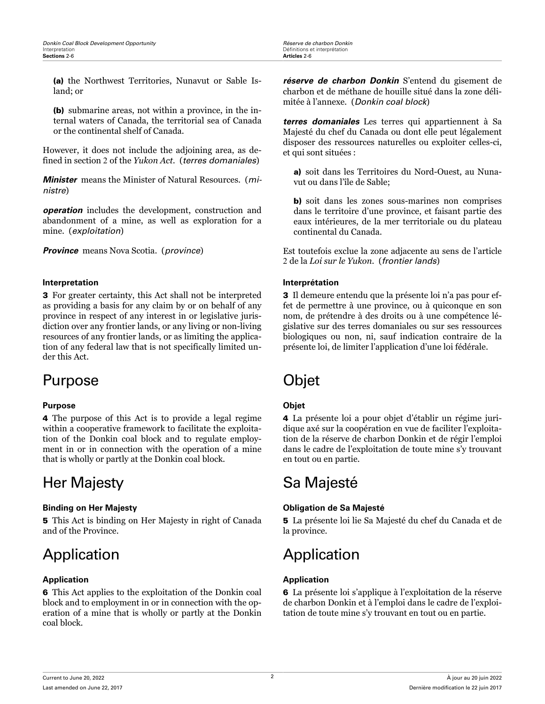<span id="page-5-0"></span>(a) the Northwest Territories, Nunavut or Sable Island; or

(b) submarine areas, not within a province, in the internal waters of Canada, the territorial sea of Canada or the continental shelf of Canada.

However, it does not include the adjoining area, as defined in section 2 of the *Yukon Act*. (*terres domaniales*)

*Minister* means the Minister of Natural Resources. (*ministre*)

*operation* includes the development, construction and abandonment of a mine, as well as exploration for a mine. (*exploitation*)

*Province* means Nova Scotia. (*province*)

## **Interpretation Interprétation**

3 For greater certainty, this Act shall not be interpreted as providing a basis for any claim by or on behalf of any province in respect of any interest in or legislative jurisdiction over any frontier lands, or any living or non-living resources of any frontier lands, or as limiting the application of any federal law that is not specifically limited under this Act.

## Purpose Objet

## **Purpose Objet**

4 The purpose of this Act is to provide a legal regime within a cooperative framework to facilitate the exploitation of the Donkin coal block and to regulate employment in or in connection with the operation of a mine that is wholly or partly at the Donkin coal block.

## Her Majesty Sa Majesté

5 This Act is binding on Her Majesty in right of Canada and of the Province.

## Application **Application**

## **Application Application**

6 This Act applies to the exploitation of the Donkin coal block and to employment in or in connection with the operation of a mine that is wholly or partly at the Donkin coal block.

*réserve de charbon Donkin* S'entend du gisement de charbon et de méthane de houille situé dans la zone délimitée à l'annexe. (*Donkin coal block*)

*terres domaniales* Les terres qui appartiennent à Sa Majesté du chef du Canada ou dont elle peut légalement disposer des ressources naturelles ou exploiter celles-ci, et qui sont situées :

a) soit dans les Territoires du Nord-Ouest, au Nunavut ou dans l'île de Sable;

b) soit dans les zones sous-marines non comprises dans le territoire d'une province, et faisant partie des eaux intérieures, de la mer territoriale ou du plateau continental du Canada.

Est toutefois exclue la zone adjacente au sens de l'article 2 de la *Loi sur le Yukon*. (*frontier lands*)

3 Il demeure entendu que la présente loi n'a pas pour effet de permettre à une province, ou à quiconque en son nom, de prétendre à des droits ou à une compétence législative sur des terres domaniales ou sur ses ressources biologiques ou non, ni, sauf indication contraire de la présente loi, de limiter l'application d'une loi fédérale.

4 La présente loi a pour objet d'établir un régime juridique axé sur la coopération en vue de faciliter l'exploitation de la réserve de charbon Donkin et de régir l'emploi dans le cadre de l'exploitation de toute mine s'y trouvant en tout ou en partie.

## **Binding on Her Majesty Obligation de Sa Majesté**

5 La présente loi lie Sa Majesté du chef du Canada et de la province.

6 La présente loi s'applique à l'exploitation de la réserve de charbon Donkin et à l'emploi dans le cadre de l'exploitation de toute mine s'y trouvant en tout ou en partie.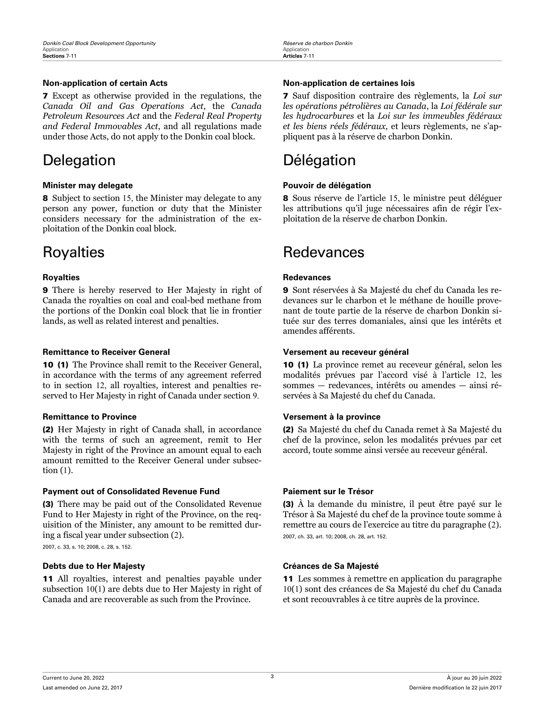7 Except as otherwise provided in the regulations, the *Canada Oil and Gas Operations Act*, the *Canada Petroleum Resources Act* and the *Federal Real Property and Federal Immovables Act*, and all regulations made under those Acts, do not apply to the Donkin coal block.

## Delegation Délégation

## **Minister may delegate Pouvoir de délégation**

8 Subject to section 15, the Minister may delegate to any person any power, function or duty that the Minister considers necessary for the administration of the exploitation of the Donkin coal block.

9 There is hereby reserved to Her Majesty in right of Canada the royalties on coal and coal-bed methane from the portions of the Donkin coal block that lie in frontier lands, as well as related interest and penalties.

## **Remittance to Receiver General Versement au receveur général**

10 (1) The Province shall remit to the Receiver General, in accordance with the terms of any agreement referred to in section 12, all royalties, interest and penalties reserved to Her Majesty in right of Canada under section 9.

(2) Her Majesty in right of Canada shall, in accordance with the terms of such an agreement, remit to Her Majesty in right of the Province an amount equal to each amount remitted to the Receiver General under subsection (1).

## **Payment out of Consolidated Revenue Fund Paiement sur le Trésor**

(3) There may be paid out of the Consolidated Revenue Fund to Her Majesty in right of the Province, on the requisition of the Minister, any amount to be remitted during a fiscal year under subsection (2).

2007, c. 33, s. 10; 2008, c. 28, s. 152.

## **Debts due to Her Majesty Créances de Sa Majesté**

11 All royalties, interest and penalties payable under subsection 10(1) are debts due to Her Majesty in right of Canada and are recoverable as such from the Province.

## <span id="page-6-0"></span>**Non-application of certain Acts Non-application de certaines lois**

7 Sauf disposition contraire des règlements, la *Loi sur les opérations pétrolières au Canada*, la *Loi fédérale sur les hydrocarbures* et la *Loi sur les immeubles fédéraux et les biens réels fédéraux*, et leurs règlements, ne s'appliquent pas à la réserve de charbon Donkin.

8 Sous réserve de l'article 15, le ministre peut déléguer les attributions qu'il juge nécessaires afin de régir l'exploitation de la réserve de charbon Donkin.

## Royalties **Redevances** Redevances

## **Royalties Redevances**

9 Sont réservées à Sa Majesté du chef du Canada les redevances sur le charbon et le méthane de houille provenant de toute partie de la réserve de charbon Donkin située sur des terres domaniales, ainsi que les intérêts et amendes afférents.

10 (1) La province remet au receveur général, selon les modalités prévues par l'accord visé à l'article 12, les sommes — redevances, intérêts ou amendes — ainsi réservées à Sa Majesté du chef du Canada.

## **Remittance to Province Versement à la province**

(2) Sa Majesté du chef du Canada remet à Sa Majesté du chef de la province, selon les modalités prévues par cet accord, toute somme ainsi versée au receveur général.

(3) À la demande du ministre, il peut être payé sur le Trésor à Sa Majesté du chef de la province toute somme à remettre au cours de l'exercice au titre du paragraphe (2). 2007, ch. 33, art. 10; 2008, ch. 28, art. 152.

11 Les sommes à remettre en application du paragraphe 10(1) sont des créances de Sa Majesté du chef du Canada et sont recouvrables à ce titre auprès de la province.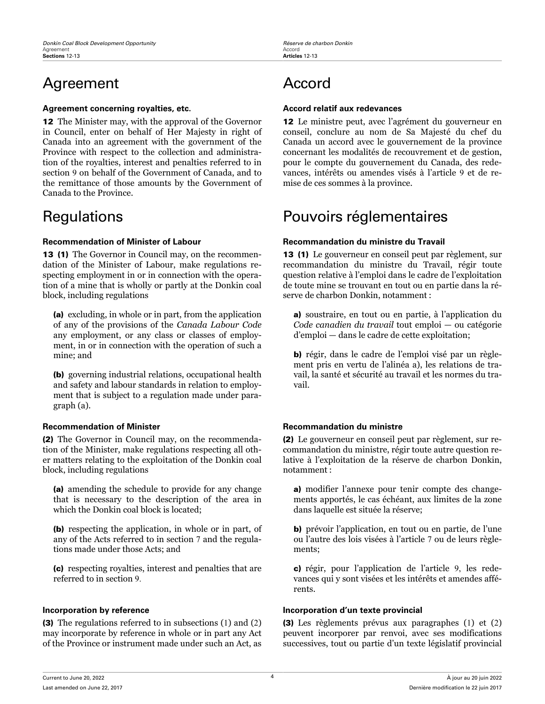## <span id="page-7-0"></span>Agreement Accord

## **Agreement concerning royalties, etc. Accord relatif aux redevances**

12 The Minister may, with the approval of the Governor in Council, enter on behalf of Her Majesty in right of Canada into an agreement with the government of the Province with respect to the collection and administration of the royalties, interest and penalties referred to in section 9 on behalf of the Government of Canada, and to the remittance of those amounts by the Government of Canada to the Province.

13 (1) The Governor in Council may, on the recommendation of the Minister of Labour, make regulations respecting employment in or in connection with the operation of a mine that is wholly or partly at the Donkin coal block, including regulations

(a) excluding, in whole or in part, from the application of any of the provisions of the *Canada Labour Code* any employment, or any class or classes of employment, in or in connection with the operation of such a mine; and

(b) governing industrial relations, occupational health and safety and labour standards in relation to employment that is subject to a regulation made under paragraph (a).

(2) The Governor in Council may, on the recommendation of the Minister, make regulations respecting all other matters relating to the exploitation of the Donkin coal block, including regulations

(a) amending the schedule to provide for any change that is necessary to the description of the area in which the Donkin coal block is located;

(b) respecting the application, in whole or in part, of any of the Acts referred to in section 7 and the regulations made under those Acts; and

(c) respecting royalties, interest and penalties that are referred to in section 9.

(3) The regulations referred to in subsections (1) and (2) may incorporate by reference in whole or in part any Act of the Province or instrument made under such an Act, as

12 Le ministre peut, avec l'agrément du gouverneur en conseil, conclure au nom de Sa Majesté du chef du Canada un accord avec le gouvernement de la province concernant les modalités de recouvrement et de gestion, pour le compte du gouvernement du Canada, des redevances, intérêts ou amendes visés à l'article 9 et de remise de ces sommes à la province.

## Regulations **Regulations** Pouvoirs réglementaires

## **Recommendation of Minister of Labour Recommandation du ministre du Travail**

13 (1) Le gouverneur en conseil peut par règlement, sur recommandation du ministre du Travail, régir toute question relative à l'emploi dans le cadre de l'exploitation de toute mine se trouvant en tout ou en partie dans la réserve de charbon Donkin, notamment :

a) soustraire, en tout ou en partie, à l'application du *Code canadien du travail* tout emploi — ou catégorie d'emploi — dans le cadre de cette exploitation;

b) régir, dans le cadre de l'emploi visé par un règlement pris en vertu de l'alinéa a), les relations de travail, la santé et sécurité au travail et les normes du travail.

## **Recommendation of Minister Recommandation du ministre**

(2) Le gouverneur en conseil peut par règlement, sur recommandation du ministre, régir toute autre question relative à l'exploitation de la réserve de charbon Donkin, notamment :

a) modifier l'annexe pour tenir compte des changements apportés, le cas échéant, aux limites de la zone dans laquelle est située la réserve;

b) prévoir l'application, en tout ou en partie, de l'une ou l'autre des lois visées à l'article 7 ou de leurs règlements;

c) régir, pour l'application de l'article 9, les redevances qui y sont visées et les intérêts et amendes afférents.

## **Incorporation by reference Incorporation d'un texte provincial**

(3) Les règlements prévus aux paragraphes (1) et (2) peuvent incorporer par renvoi, avec ses modifications successives, tout ou partie d'un texte législatif provincial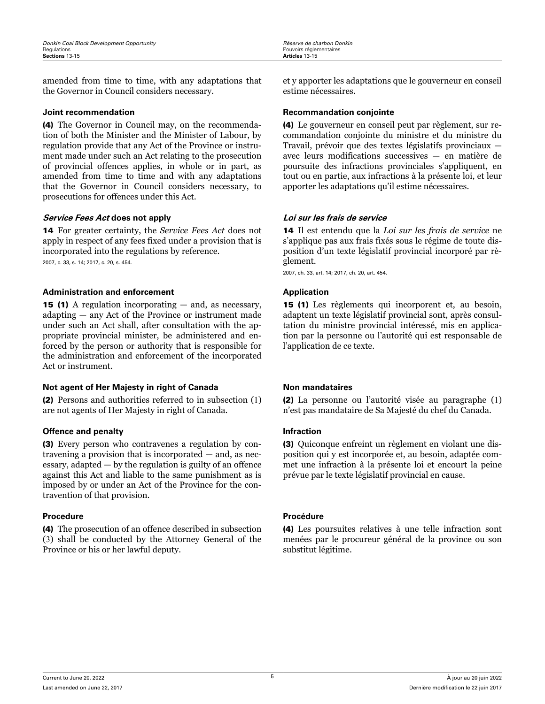<span id="page-8-0"></span>amended from time to time, with any adaptations that the Governor in Council considers necessary.

(4) The Governor in Council may, on the recommendation of both the Minister and the Minister of Labour, by regulation provide that any Act of the Province or instrument made under such an Act relating to the prosecution of provincial offences applies, in whole or in part, as amended from time to time and with any adaptations that the Governor in Council considers necessary, to prosecutions for offences under this Act.

## **Service Fees Act does not apply Loi sur les frais de service**

14 For greater certainty, the *Service Fees Act* does not apply in respect of any fees fixed under a provision that is incorporated into the regulations by reference. 2007, c. 33, s. 14; 2017, c. 20, s. 454.

## **Administration and enforcement Application**

15 (1) A regulation incorporating — and, as necessary, adapting — any Act of the Province or instrument made under such an Act shall, after consultation with the appropriate provincial minister, be administered and enforced by the person or authority that is responsible for the administration and enforcement of the incorporated Act or instrument.

## **Not agent of Her Majesty in right of Canada Non mandataires**

(2) Persons and authorities referred to in subsection (1) are not agents of Her Majesty in right of Canada.

## **Offence and penalty Infraction**

(3) Every person who contravenes a regulation by contravening a provision that is incorporated — and, as necessary, adapted — by the regulation is guilty of an offence against this Act and liable to the same punishment as is imposed by or under an Act of the Province for the contravention of that provision.

## **Procedure Procédure**

(4) The prosecution of an offence described in subsection (3) shall be conducted by the Attorney General of the Province or his or her lawful deputy.

et y apporter les adaptations que le gouverneur en conseil estime nécessaires.

## **Joint recommendation Recommandation conjointe**

(4) Le gouverneur en conseil peut par règlement, sur recommandation conjointe du ministre et du ministre du Travail, prévoir que des textes législatifs provinciaux avec leurs modifications successives — en matière de poursuite des infractions provinciales s'appliquent, en tout ou en partie, aux infractions à la présente loi, et leur apporter les adaptations qu'il estime nécessaires.

14 Il est entendu que la *Loi sur les frais de service* ne s'applique pas aux frais fixés sous le régime de toute disposition d'un texte législatif provincial incorporé par règlement.

2007, ch. 33, art. 14; 2017, ch. 20, art. 454.

15 (1) Les règlements qui incorporent et, au besoin, adaptent un texte législatif provincial sont, après consultation du ministre provincial intéressé, mis en application par la personne ou l'autorité qui est responsable de l'application de ce texte.

(2) La personne ou l'autorité visée au paragraphe (1) n'est pas mandataire de Sa Majesté du chef du Canada.

(3) Quiconque enfreint un règlement en violant une disposition qui y est incorporée et, au besoin, adaptée commet une infraction à la présente loi et encourt la peine prévue par le texte législatif provincial en cause.

(4) Les poursuites relatives à une telle infraction sont menées par le procureur général de la province ou son substitut légitime.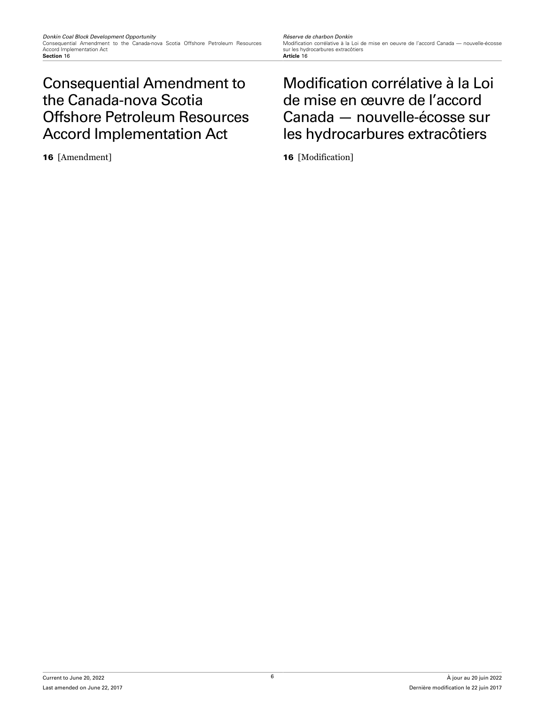## <span id="page-9-0"></span>Consequential Amendment to the Canada-nova Scotia Offshore Petroleum Resources Accord Implementation Act

Modification corrélative à la Loi de mise en oeuvre de l'accord Canada — nouvelle-écosse sur les hydrocarbures extracôtiers<br>Article 16

## Modification corrélative à la Loi de mise en œuvre de l'accord Canada — nouvelle-écosse sur les hydrocarbures extracôtiers

16 [Amendment] 16 [Modification]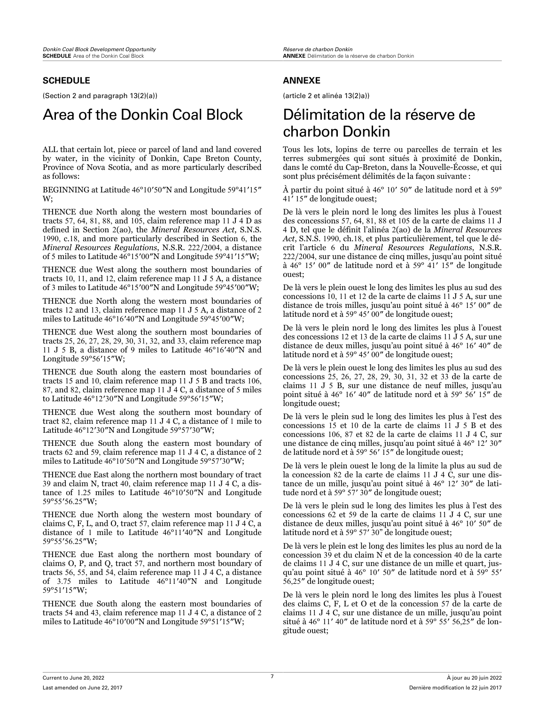## <span id="page-10-0"></span>**SCHEDULE**

(Section 2 and paragraph 13(2)(a))

## Area of the Donkin Coal Block Délimitation de la réserve de

ALL that certain lot, piece or parcel of land and land covered by water, in the vicinity of Donkin, Cape Breton County, Province of Nova Scotia, and as more particularly described as follows:

BEGINNING at Latitude 46°10′50″N and Longitude 59°41′15″ W;

THENCE due North along the western most boundaries of tracts 57, 64, 81, 88, and 105, claim reference map 11 J 4 D as defined in Section 2(ao), the *Mineral Resources Act*, S.N.S. 1990, c.18, and more particularly described in Section 6, the *Mineral Resources Regulations*, N.S.R. 222/2004, a distance of 5 miles to Latitude 46°15′00″N and Longitude 59°41′15″W;

THENCE due West along the southern most boundaries of tracts 10, 11, and 12, claim reference map 11 J 5 A, a distance of 3 miles to Latitude 46°15′00″N and Longitude 59°45′00″W;

THENCE due North along the western most boundaries of tracts 12 and 13, claim reference map 11 J 5 A, a distance of 2 miles to Latitude 46°16′40″N and Longitude 59°45′00″W;

THENCE due West along the southern most boundaries of tracts 25, 26, 27, 28, 29, 30, 31, 32, and 33, claim reference map 11 J 5 B, a distance of 9 miles to Latitude 46°16′40″N and Longitude 59°56′15″W;

THENCE due South along the eastern most boundaries of tracts 15 and 10, claim reference map 11 J 5 B and tracts 106, 87, and 82, claim reference map 11  $J<sup>4</sup>$  C, a distance of 5 miles to Latitude 46°12′30″N and Longitude 59°56′15″W;

THENCE due West along the southern most boundary of tract 82, claim reference map 11 J 4 C, a distance of 1 mile to Latitude 46°12′30″N and Longitude 59°57′30″W;

THENCE due South along the eastern most boundary of tracts 62 and 59, claim reference map 11 J 4 C, a distance of 2 miles to Latitude 46°10′50″N and Longitude 59°57′30″W;

THENCE due East along the northern most boundary of tract 39 and claim N, tract 40, claim reference map 11 J 4 C, a distance of 1.25 miles to Latitude 46°10′50″N and Longitude 59°55′56.25″W;

THENCE due North along the western most boundary of claims C, F, L, and O, tract 57, claim reference map 11 J 4 C, a distance of 1 mile to Latitude 46°11′40″N and Longitude 59°55′56.25″W;

THENCE due East along the northern most boundary of claims O, P, and Q, tract 57, and northern most boundary of tracts 56, 55, and 54, claim reference map 11 J 4 C, a distance of 3.75 miles to Latitude 46°11′40″N and Longitude 59°51′15″W;

THENCE due South along the eastern most boundaries of tracts 54 and 43, claim reference map 11 J 4 C, a distance of 2 miles to Latitude 46°10′00″N and Longitude 59°51′15″W;

## **ANNEXE**

(article 2 et alinéa 13(2)a))

# charbon Donkin

Tous les lots, lopins de terre ou parcelles de terrain et les terres submergées qui sont situés à proximité de Donkin, dans le comté du Cap-Breton, dans la Nouvelle-Écosse, et qui sont plus précisément délimités de la façon suivante :

À partir du point situé à 46° 10′ 50″ de latitude nord et à 59° 41′ 15″ de longitude ouest;

De là vers le plein nord le long des limites les plus à l'ouest des concessions 57, 64, 81, 88 et 105 de la carte de claims 11 J 4 D, tel que le définit l'alinéa 2(ao) de la *Mineral Resources Act*, S.N.S. 1990, ch.18, et plus particulièrement, tel que le décrit l'article 6 du *Mineral Resources Regulations*, N.S.R. 222/2004, sur une distance de cinq milles, jusqu'au point situé à 46° 15′ 00″ de latitude nord et à 59° 41′ 15″ de longitude ouest;

De là vers le plein ouest le long des limites les plus au sud des concessions 10, 11 et 12 de la carte de claims 11 J 5 A, sur une distance de trois milles, jusqu'au point situé à 46° 15′ 00″ de latitude nord et à 59° 45′ 00″ de longitude ouest;

De là vers le plein nord le long des limites les plus à l'ouest des concessions 12 et 13 de la carte de claims 11 J 5 A, sur une distance de deux milles, jusqu'au point situé à 46° 16′ 40″ de latitude nord et à 59° 45′ 00″ de longitude ouest;

De là vers le plein ouest le long des limites les plus au sud des concessions 25, 26, 27, 28, 29, 30, 31, 32 et 33 de la carte de claims 11 J 5 B, sur une distance de neuf milles, jusqu'au point situé à 46° 16′ 40″ de latitude nord et à 59° 56′ 15″ de longitude ouest;

De là vers le plein sud le long des limites les plus à l'est des concessions 15 et 10 de la carte de claims 11 J 5 B et des concessions 106, 87 et 82 de la carte de claims 11 J 4 C, sur une distance de cinq milles, jusqu'au point situé à 46° 12′ 30″ de latitude nord et à 59° 56′ 15″ de longitude ouest;

De là vers le plein ouest le long de la limite la plus au sud de la concession 82 de la carte de claims 11 J 4  $\bar{C}$ , sur une distance de un mille, jusqu'au point situé à 46° 12′ 30″ de latitude nord et à 59° 57′ 30″ de longitude ouest;

De là vers le plein sud le long des limites les plus à l'est des concessions 62 et 59 de la carte de claims 11 J 4 C, sur une distance de deux milles, jusqu'au point situé à 46° 10′ 50″ de latitude nord et à 59° 57′ 30" de longitude ouest;

De là vers le plein est le long des limites les plus au nord de la concession 39 et du claim N et de la concession 40 de la carte de claims 11 J 4 C, sur une distance de un mille et quart, jusqu'au point situé à 46° 10′ 50″ de latitude nord et à 59° 55′ 56,25″ de longitude ouest;

De là vers le plein nord le long des limites les plus à l'ouest des claims C, F, L et O et de la concession 57 de la carte de claims 11 J 4 C, sur une distance de un mille, jusqu'au point situé à 46° 11′ 40″ de latitude nord et à 59° 55′ 56,25″ de longitude ouest;